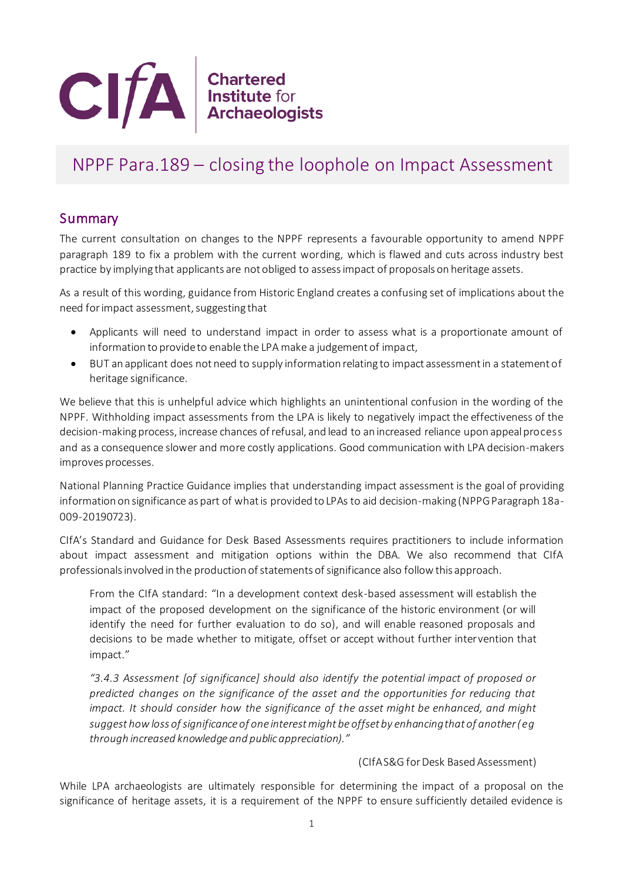

## NPPF Para.189 – closing the loophole on Impact Assessment

## **Summary**

The current consultation on changes to the NPPF represents a favourable opportunity to amend NPPF paragraph 189 to fix a problem with the current wording, which is flawed and cuts across industry best practice by implying that applicants are not obliged to assess impact of proposals on heritage assets.

As a result of this wording, guidance from Historic England creates a confusing set of implications about the need for impact assessment, suggesting that

- Applicants will need to understand impact in order to assess what is a proportionate amount of information to provide to enable the LPA make a judgement of impact,
- BUT an applicant does not need to supply information relating to impact assessment in a statement of heritage significance.

We believe that this is unhelpful advice which highlights an unintentional confusion in the wording of the NPPF. Withholding impact assessments from the LPA is likely to negatively impact the effectiveness of the decision-making process, increase chances of refusal, and lead to an increased reliance upon appeal process and as a consequence slower and more costly applications. Good communication with LPA decision-makers improves processes.

National Planning Practice Guidance implies that understanding impact assessment is the goal of providing information on significance as part of what is provided to LPAs to aid decision-making (NPPG Paragraph 18a-009-20190723).

CIfA's Standard and Guidance for Desk Based Assessments requires practitioners to include information about impact assessment and mitigation options within the DBA. We also recommend that CIfA professionals involved in the production of statements of significance also follow this approach.

From the CIfA standard: "In a development context desk-based assessment will establish the impact of the proposed development on the significance of the historic environment (or will identify the need for further evaluation to do so), and will enable reasoned proposals and decisions to be made whether to mitigate, offset or accept without further intervention that impact."

*"3.4.3 Assessment [of significance] should also identify the potential impact of proposed or predicted changes on the significance of the asset and the opportunities for reducing that impact. It should consider how the significance of the asset might be enhanced, and might suggest how loss of significance of one interest might be offset by enhancing that of another (eg through increased knowledge and public appreciation)."*

## (CIfA S&G for Desk Based Assessment)

While LPA archaeologists are ultimately responsible for determining the impact of a proposal on the significance of heritage assets, it is a requirement of the NPPF to ensure sufficiently detailed evidence is